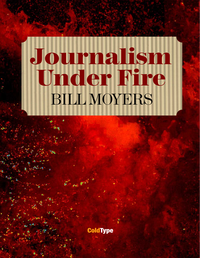# BILL MOYERS Journalism Under Fire

**ColdType**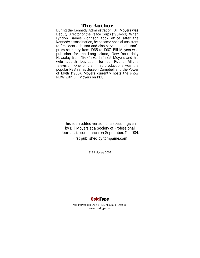#### The Author

During the Kennedy Administration, Bill Moyers was Deputy Director of the Peace Corps (1961–63). When Lyndon Baines Johnson took office after the Kennedy assassination, he became special Assistant to President Johnson and also served as Johnson's press secretary from 1965 to 1967. Bill Moyers was publisher for the Long Island, New York daily Newsday from 1967-1970. In 1986, Moyers and his wife Judith Davidson formed Public Affairs Television. One of their first productions was the popular PBS series Joseph Campbell and the Power of Myth (1988). Moyers currently hosts the show NOW with Bill Moyers on PBS.

This is an edited version of a speech given by Bill Moyers at a Society of Professional Journalists conference on September. 11, 2004. First published by tompaine.com

© BillMoyers 2004



WRITING WORTH READING FROM AROUND THE WORLD www.coldtype.net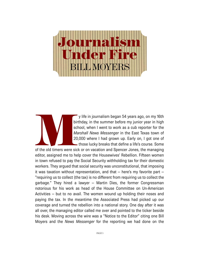## BILL MOYERS ournalism nder Fire

y life in journalism began 54 years ago, on my 16th birthday, in the summer before my junior year in high school, when I went to work as a cub reporter for the *Marshall News Messenger* in the East Texas town of 20,000 where I had grown up. Early on, I got one of those lucky breaks that define a life's course. Some

of the old timers were sick or on vacation and Spencer Jones, the managing editor, assigned me to help cover the Housewives' Rebellion. Fifteen women in town refused to pay the Social Security withholding tax for their domestic workers. They argued that social security was unconstitutional, that imposing it was taxation without representation, and that – here's my favorite part – "requiring us to collect (the tax) is no different from requiring us to collect the garbage." They hired a lawyer – Martin Dies, the former Congressman notorious for his work as head of the House Committee on Un-American Activities – but to no avail. The women wound up holding their noses and paying the tax. In the meantime the Associated Press had picked up our coverage and turned the rebellion into a national story. One day after it was all over, the managing editor called me over and pointed to the ticker beside his desk. Moving across the wire was a "Notice to the Editor" citing one Bill Moyers and the *News Messenger* for the reporting we had done on the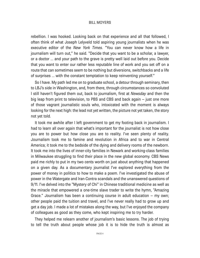rebellion. I was hooked. Looking back on that experience and all that followed, I often think of what Joseph Lelyveld told aspiring young journalists when he was executive editor of the *New York Times.* "You can never know how a life in journalism will turn out," he said. "Decide that you want to be a scholar, a lawyer, or a doctor ... and your path to the grave is pretty well laid out before you. Decide that you want to enter our rather less reputable line of work and you set off on a route that can sometimes seem to be nothing but diversions, switchbacks and a life of surprises ... with the constant temptation to keep reinventing yourself."

So I have. My path led me on to graduate school, a detour through seminary, then to LBJ's side in Washington, and, from there, through circumstances so convoluted I still haven't figured them out, back to journalism, first at *Newsday* and then the big leap from print to television, to PBS and CBS and back again – just one more of those vagrant journalistic souls who, intoxicated with the moment is always looking for the next high: the lead not yet written, the picture not yet taken, the story not yet told.

It took me awhile after I left government to get my footing back in journalism. I had to learn all over again that what's important for the journalist is not how close you are to power but how close you are to reality. I've seen plenty of reality. Journalism took me to famine and revolution in Africa and to war in Central America; it took me to the bedside of the dying and delivery rooms of the newborn. It took me into the lives of inner-city families in Newark and working-class families in Milwaukee struggling to find their place in the new global economy. CBS News paid me richly to put in my two cents worth on just about anything that happened on a given day. As a documentary journalist I've explored everything from the power of money in politics to how to make a poem. I've investigated the abuse of power in the Watergate and Iran-Contra scandals and the unanswered questions of 9/11. I've delved into the "Mystery of Chi" in Chinese traditional medicine as well as the miracle that empowered a one-time slave trader to write the hymn, "Amazing Grace." Journalism has been a continuing course in adult education – my own; other people paid the tuition and travel, and I've never really had to grow up and get a day job. I made a lot of mistakes along the way, but I've enjoyed the company of colleagues as good as they come, who kept inspiring me to try harder.

They helped me relearn another of journalism's basic lessons. The job of trying to tell the truth about people whose job it is to hide the truth is almost as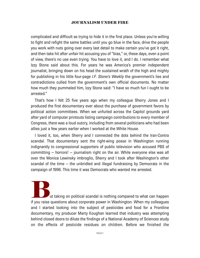complicated and difficult as trying to hide it in the first place. Unless you're willing to fight and refight the same battles until you go blue in the face, drive the people you work with nuts going over every last detail to make certain you've got it right, and then take hit after unfair hit accusing you of "bias," or, these days, even a point of view, there's no use even trying. You have to love it, and I do. I remember what Izzy Stone said about this. For years he was America's premier independent journalist, bringing down on his head the sustained wrath of the high and mighty for publishing in his little four-page *I.F. Stone's Weekly* the government's lies and contradictions culled from the government's own official documents. No matter how much they pummeled him, Izzy Stone said: "I have so much fun I ought to be arrested."

That's how I felt 25 five years ago when my colleague Sherry Jones and I produced the first documentary ever about the purchase of government favors by political action committees. When we unfurled across the Capitol grounds yard after yard of computer printouts listing campaign contributions to every member of Congress, there was a loud outcry, including from several politicians who had been allies just a few years earlier when I worked at the White House.

I loved it, too, when Sherry and I connected the dots behind the Iran-Contra scandal. That documentary sent the right-wing posse in Washington running indignantly to congressional supporters of public television who accused PBS of committing – horrors! – journalism right on the air. While everyone else was all over the Monica Lewinsky imbroglio, Sherry and I took after Washington's other scandal of the time – the unbridled and illegal fundraising by Democrats in the campaign of 1996. This time it was Democrats who wanted me arrested.

ut taking on political scandal is nothing compared to what can happen if you raise questions about corporate power in Washington. When my colleagues and I started looking into the subject of pesticides and food for a Frontline documentary, my producer Marty Koughan learned that industry was attempting behind closed doors to dilute the findings of a National Academy of Sciences study on the effects of pesticide residues on children. Before we finished the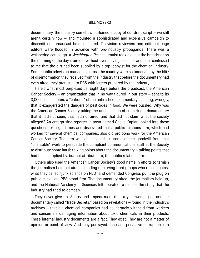documentary, the industry somehow purloined a copy of our draft script – we still aren't certain how – and mounted a sophisticated and expensive campaign to discredit our broadcast before it aired. Television reviewers and editorial page editors were flooded in advance with pro-industry propaganda. There was a whispering campaign. A *Washington Post* columnist took a dig at the broadcast on the morning of the day it aired – without even having seen it – and later confessed to me that the dirt had been supplied by a top lobbyist for the chemical industry. Some public television managers across the country were so unnerved by the blitz of dis-information they received from the industry that before the documentary had even aired, they protested to PBS with letters prepared by the industry.

Here's what most perplexed us: Eight days before the broadcast, the American Cancer Society – an organization that in no way figured in our story – sent to its 3,000 local chapters a "critique" of the unfinished documentary claiming, wrongly, that it exaggerated the dangers of pesticides in food. We were puzzled. Why was the American Cancer Society taking the unusual step of criticizing a documentary that it had not seen, that had not aired, and that did not claim what the society alleged? An enterprising reporter in town named Sheila Kaplan looked into these questions for Legal Times and discovered that a public relations firm, which had worked for several chemical companies, also did pro bono work for the American Cancer Society. The firm was able to cash in some of the goodwill from that "charitable" work to persuade the compliant communications staff at the Society to distribute some harsh talking points about the documentary – talking points that had been supplied by, but not attributed to, the public relations firm.

Others also used the American Cancer Society's good name in efforts to tarnish the journalism before it aired; including right-wing front groups who railed against what they called "junk science on PBS" and demanded Congress pull the plug on public television. PBS stood firm. The documentary aired, the journalism held up, and the National Academy of Sciences felt liberated to release the study that the industry had tried to demean.

They never give up. Sherry and I spent more than a year working on another documentary called *"*Trade Secrets*,"* based on revelations – found in the industry's archives – that big chemical companies had deliberately withheld from workers and consumers damaging information about toxic chemicals in their products. These internal industry documents are a fact. They exist. They are not a matter of opinion or point of view. And they portrayed deep and pervasive corruption in a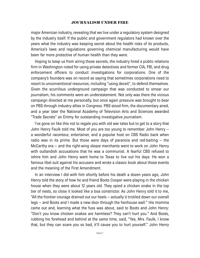major American industry, revealing that we live under a regulatory system designed by the industry itself. If the public and government regulators had known over the years what the industry was keeping secret about the health risks of its products, America's laws and regulations governing chemical manufacturing would have been far more protective of human health than they were.

Hoping to keep us from airing those secrets, the industry hired a public relations firm in Washington noted for using private detectives and former CIA, FBI, and drug enforcement officers to conduct investigations for corporations. One of the company's founders was on record as saying that sometimes corporations need to resort to unconventional resources, including "using deceit", to defend themselves. Given the scurrilous underground campaign that was conducted to smear our journalism, his comments were an understatement. Not only was there the vicious campaign directed at me personally, but once again pressure was brought to bear on PBS through industry allies in Congress. PBS stood firm, the documentary aired, and a year later the National Academy of Television Arts and Sciences awarded "Trade Secrets" an Emmy for outstanding investigative journalism.

I've gone on like this not to regale you with old war tales but to get to a story that John Henry Faulk told me. Most of you are too young to remember John Henry – a wonderful raconteur, entertainer, and a popular host on CBS Radio back when radio was in its prime. But those were days of paranoia and red-baiting – the McCarthy era – and the right-wing sleaze merchants went to work on John Henry with outlandish accusations that he was a communist. A fearful CBS refused to rehire him and John Henry went home to Texas to live out his days. He won a famous libel suit against his accusers and wrote a classic book about those events and the meaning of the First Amendment.

In an interview I did with him shortly before his death a dozen years ago, John Henry told the story of how he and friend Boots Cooper were playing in the chicken house when they were about 12 years old. They spied a chicken snake in the top tier of nests, so close it looked like a boa constrictor. As John Henry told it to me, "All the frontier courage drained out our heels – actually it trickled down our overall legs – and Boots and I made a new door through the henhouse wall." His momma came out and, learning what the fuss was about, said to Boots and John Henry: "Don't you know chicken snakes are harmless? They can't hurt you." And Boots, rubbing his forehead and behind at the same time, said, "Yes, Mrs. Faulk, I know that, but they can scare you so bad, it'll cause you to hurt yourself." John Henry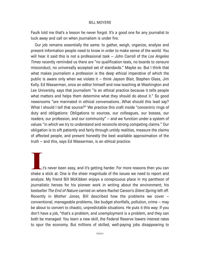Faulk told me that's a lesson he never forgot. It's a good one for any journalist to tuck away and call on when journalism is under fire.

Our job remains essentially the same: to gather, weigh, organize, analyze and present information people need to know in order to make sense of the world. You will hear it said this is not a professional task – John Carroll of the *Los Angeles Times* recently reminded us there are "no qualification tests, no boards to censure misconduct, no universally accepted set of standards." Maybe so. But I think that what makes journalism a profession is the deep ethical imperative of which the public is aware only when we violate it – think Jayson Blair, Stephen Glass, Jim Kelly. Ed Wasserman, once an editor himself and now teaching at Washington and Lee University, says that journalism "is an ethical practice because it tells people what matters and helps them determine what they should do about it." So good newsrooms "are marinated in ethical conversations...What should this lead say? What I should I tell that source?" We practice this craft inside "concentric rings of duty and obligations: Obligations to sources, our colleagues, our bosses, our readers, our profession, and our community" – and we function under a system of values "in which we try to understand and reconcile strong competing claims." Our obligation is to sift patiently and fairly through untidy realities, measure the claims of affected people, and present honestly the best available approximation of the truth – and this, says Ed Wasserman, is an ethical practice.

 $\mathsf{L}$ t's never been easy, and it's getting harder. For more reasons then you can shake a stick at. One is the sheer magnitude of the issues we need to report and analyze. My friend Bill McKibben enjoys a conspicuous place in my pantheon of journalistic heroes for his pioneer work in writing about the environment; his bestseller *The End of Nature* carried on where Rachel Carson's *Silent Spring* left off. Recently in *Mother Jones,* Bill described how the problems we cover – conventional, manageable problems, like budget shortfalls, pollution, crime – may be about to convert to chaotic, unpredictable situations. He puts it this way: If you don't have a job, "that's a problem, and unemployment is a problem, and they can both be managed: You learn a new skill, the Federal Reserve lowers interest rates to spur the economy. But millions of skilled, well-paying jobs disappearing to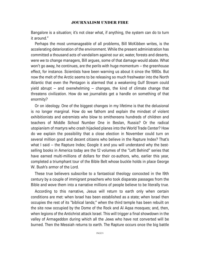Bangalore is a situation; it's not clear what, if anything, the system can do to turn it around."

Perhaps the most unmanageable of all problems, Bill McKibben writes, is the accelerating deterioration of the environment. While the present administration has committed a thousand acts of vandalism against our air, water, forests and deserts, were we to change managers, Bill argues, some of that damage would abate. What won't go away, he continues, are the perils with huge momentum – the greenhouse effect, for instance. Scientists have been warning us about it since the 1980s. But now the melt of the Arctic seems to be releasing so much freshwater into the North Atlantic that even the Pentagon is alarmed that a weakening Gulf Stream could yield abrupt – and overwhelming – changes, the kind of climate change that threatens civilization. How do we journalists get a handle on something of that enormity?

Or on ideology. One of the biggest changes in my lifetime is that the delusional is no longer marginal. How do we fathom and explain the mindset of violent exhibitionists and extremists who blow to smithereens hundreds of children and teachers of Middle School Number One in Beslan, Russia? Or the radical utopianism of martyrs who crash hijacked planes into the World Trade Center? How do we explain the possibility that a close election in November could turn on several million good and decent citizens who believe in the Rapture Index? That's what I said – the Rapture Index; Google it and you will understand why the bestselling books in America today are the 12 volumes of the "Left Behind" series that have earned multi-millions of dollars for their co-authors, who, earlier this year, completed a triumphant tour of the Bible Belt whose buckle holds in place George W. Bush's armor of the Lord.

These true believers subscribe to a fantastical theology concocted in the l9th century by a couple of immigrant preachers who took disparate passages from the Bible and wove them into a narrative millions of people believe to be literally true.

According to this narrative, Jesus will return to earth only when certain conditions are met: when Israel has been established as a state; when Israel then occupies the rest of its "biblical lands;" when the third temple has been rebuilt on the site now occupied by the Dome of the Rock and Al Aqsa mosques; and, then, when legions of the Antichrist attack Israel. This will trigger a final showdown in the valley of Armageddon during which all the Jews who have not converted will be burned. Then the Messiah returns to earth. The Rapture occurs once the big battle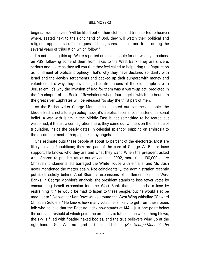begins. True believers "will be lifted out of their clothes and transported to heaven where, seated next to the right hand of God, they will watch their political and religious opponents suffer plagues of boils, sores, locusts and frogs during the several years of tribulation which follow."

I'm not making this up. We're reported on these people for our weekly broadcast on PBS, following some of them from Texas to the West Bank. They are sincere, serious and polite as they tell you that they feel called to help bring the Rapture on as fulfillment of biblical prophecy. That's why they have declared solidarity with Israel and the Jewish settlements and backed up their support with money and volunteers. It's why they have staged confrontations at the old temple site in Jerusalem. It's why the invasion of Iraq for them was a warm-up act, predicted in the 9th chapter of the Book of Revelations where four angels "which are bound in the great river Euphrates will be released "to slay the third part of men.'

As the British writer George Monbiot has pointed out, for these people, the Middle East is not a foreign policy issue, it's a biblical scenario, a matter of personal belief. A war with Islam in the Middle East is not something to be feared but welcomed; if there's a conflagration there, they come out winners on the far side of tribulation, inside the pearly gates, in celestial splendor, supping on ambrosia to the accompaniment of harps plucked by angels.

One estimate puts these people at about 15 percent of the electorate. Most are likely to vote Republican; they are part of the core of George W. Bush's base support. He knows who they are and what they want. When the president asked Ariel Sharon to pull his tanks out of Jenin in 2002, more than 100,000 angry Christian fundamentalists barraged the White House with e-mails, and Mr. Bush never mentioned the matter again. Not coincidentally, the administration recently put itself solidly behind Ariel Sharon's expansions of settlements on the West Banks. In George Monbiot's analysis, the president stands to lose fewer votes by encouraging Israeli expansion into the West Bank than he stands to lose by restraining it. "He would be mad to listen to these people, but he would also be mad not to." No wonder Karl Rove walks around the West Wing whistling "Onward Christian Soldiers." He knows how many votes he is likely to get from these pious folk who believe that the Rapture Index now stands at 144 – just one point below the critical threshold at which point the prophecy is fulfilled, the whole thing blows, the sky is filled with floating naked bodies, and the true believers wind up at the right hand of God. With no regret for those left behind. *(See George Monbiot. The*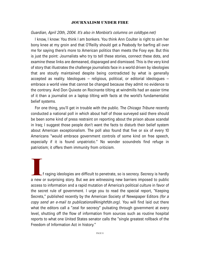#### *Guardian, April 20th, 2004. It's also in Monbiot's columns on coldtype.net)*

I know, I know: You think I am bonkers. You think Ann Coulter is right to aim her bony knee at my groin and that O'Reilly should get a Peabody for barfing all over me for saying there's more to American politics than meets the Foxy eye. But this is just the point: Journalists who try to tell these stories, connect these dots, and examine these links are demeaned, disparaged and dismissed. This is the very kind of story that illustrates the challenge journalists face in a world driven by ideologies that are stoutly maintained despite being contradicted by what is generally accepted as reality. Ideologues – religious, political, or editorial ideologues – embrace a world view that cannot be changed because they admit no evidence to the contrary. And Don Quixote on Rocinante tilting at windmills had an easier time of it than a journalist on a laptop tilting with facts at the world's fundamentalist belief systems.

For one thing, you'll get in trouble with the public. The *Chicago Tribune* recently conducted a national poll in which about half of those surveyed said there should be been some kind of press restraint on reporting about the prison abuse scandal in Iraq; I suggest those people don't want the facts to disturb their belief system about American exceptionalism. The poll also found that five or six of every 10 Americans "would embrace government controls of some kind on free speech, especially if it is found unpatriotic." No wonder scoundrels find refuge in patriotism; it offers them immunity from criticism.

If raging ideologies are difficult to penetrate, so is secrecy. Secrecy is hardly<br>a new or surprising story. But we are witnessing new barriers imposed to public access to information and a rapid mutation of America's political culture in favor of the secret rule of government. I urge you to read the special report, "Keeping Secrets," published recently by the American Society of Newspaper Editors *(for a copy send an e-mail to publications@knightfdn.org)*. You will find laid out there what the editors call a "zeal for secrecy" pulsating through government at every level, shutting off the flow of information from sources such as routine hospital reports to what one United States senator calls the "single greatest rollback of the Freedom of Information Act in history."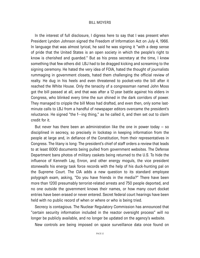In the interest of full disclosure, I digress here to say that I was present when President Lyndon Johnson signed the Freedom of Information Act on July 4, 1966. In language that was almost lyrical, he said he was signing it "with a deep sense of pride that the United States is an open society in which the people's right to know is cherished and guarded." But as his press secretary at the time, I knew something that few others did: LBJ had to be dragged kicking and screaming to the signing ceremony. He hated the very idea of FOIA, hated the thought of journalists rummaging in government closets, hated them challenging the official review of realty. He dug in his heels and even threatened to pocket-veto the bill after it reached the White House. Only the tenacity of a congressman named John Moss got the bill passed at all, and that was after a 12-year battle against his elders in Congress, who blinked every time the sun shined in the dark corridors of power. They managed to cripple the bill Moss had drafted, and even then, only some lastminute calls to LBJ from a handful of newspaper editors overcame the president's reluctance. He signed "the f---ing thing," as he called it, and then set out to claim credit for it.

But never has there been an administration like the one in power today  $-$  so disciplined in secrecy, so precisely in lockstep in keeping information from the people at large and, in defiance of the Constitution, from their representatives in Congress. The litany is long: The president's chief of staff orders a review that leads to at least 6000 documents being pulled from government websites. The Defense Department bans photos of military caskets being returned to the U.S. To hide the influence of Kenneth Lay, Enron, and other energy moguls, the vice president stonewalls his energy task force records with the help of his duck-hunting pal on the Supreme Court. The CIA adds a new question to its standard employee polygraph exam, asking, "Do you have friends in the media?" There have been more than 1200 presumably terrorist-related arrests and 750 people deported, and no one outside the government knows their names, or how many court docket entries have been erased or never entered. Secret federal court hearings have been held with no public record of when or where or who is being tried.

Secrecy is contagious. The Nuclear Regulatory Commission has announced that "certain security information included in the reactor oversight process" will no longer be publicly available, and no longer be updated on the agency's website.

New controls are being imposed on space surveillance data once found on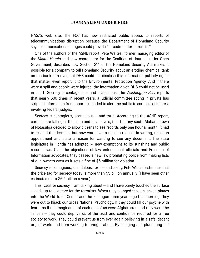NASA's web site. The FCC has now restricted public access to reports of telecommunications disruption because the Department of Homeland Security says communications outages could provide "a roadmap for terrorists."

One of the authors of the ASNE report, Pete Weitzel, former managing editor of the *Miami Herald* and now coordinator for the Coalition of Journalists for Open Government, describes how Section 214 of the Homeland Security Act makes it possible for a company to tell Homeland Security about an eroding chemical tank on the bank of a river, but DHS could not disclose this information publicly or, for that matter, even report it to the Environmental Protection Agency. And if there were a spill and people were injured, the information given DHS could not be used in court! Secrecy is contagious – and scandalous. The *Washington Post* reports that nearly 600 times in recent years, a judicial committee acting in private has stripped information from reports intended to alert the public to conflicts of interest involving federal judges.

Secrecy is contagious, scandalous – and toxic. According to the ASNE report, curtains are falling at the state and local levels, too. The tiny south Alabama town of Notasulga decided to allow citizens to see records only one hour a month. It had to rescind the decision, but now you have to make a request in writing, make an appointment and state a reason for wanting to see any document. The state legislature in Florida has adopted 14 new exemptions to its sunshine and public record laws. Over the objections of law enforcement officials and Freedom of Information advocates, they passed a new law prohibiting police from making lists of gun owners even as it sets a fine of \$5 million for violation.

Secrecy is contagious, scandalous, toxic – and costly. Pete Weitzel estimates that the price tag for secrecy today is more than \$5 billion annually (I have seen other estimates up to \$6.5 billion a year.)

This "zeal for secrecy" I am talking about – and I have barely touched the surface – adds up to a victory for the terrorists. When they plunged those hijacked planes into the World Trade Center and the Pentagon three years ago this morning, they were out to hijack our Gross National Psychology. If they could fill our psyche with fear – as if the imagination of each one of us were Afghanistan and they were the Taliban – they could deprive us of the trust and confidence required for a free society to work. They could prevent us from ever again believing in a safe, decent or just world and from working to bring it about. By pillaging and plundering our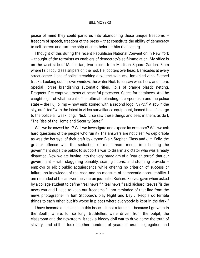peace of mind they could panic us into abandoning those unique freedoms – freedom of speech, freedom of the press – that constitute the ability of democracy to self-correct and turn the ship of state before it hits the iceberg.

I thought of this during the recent Republican National Convention in New York – thought of the terrorists as enablers of democracy's self-immolation. My office is on the west side of Manhattan, two blocks from Madison Square Garden. From where I sit I could see snipers on the roof. Helicopters overhead. Barricades at every street corner. Lines of police stretching down the avenues. Unmarked vans. Flatbed trucks. Looking out his own window, the writer Nick Turse saw what I saw and more. Special Forces brandishing automatic rifles. Rolls of orange plastic netting. Dragnets. Pre-emptive arrests of peaceful protesters. Cages for detainees. And he caught sight of what he calls "the ultimate blending of corporatism and the police state – the Fuji blimp – now emblazoned with a second logo: NYPD." A spy-in-the sky, outfitted "with the latest in video-surveillance equipment, loaned free of charge to the police all week long." Nick Turse saw these things and sees in them, as do I, "The Rise of the Homeland Security State."

Will we be cowed by it? Will we investigate and expose its excesses? Will we ask hard questions of the people who run it? The answers are not clear. As deplorable as was the betrayal of their craft by Jayson Blair, Stephen Glass and Jim Kelly, the greater offense was the seduction of mainstream media into helping the government dupe the public to support a war to disarm a dictator who was already disarmed. Now we are buying into the very paradigm of a "war on terror" that our government – with staggering banality, soaring hubris, and stunning bravado – employs to elicit public acquiescence while offering no criterion of success or failure, no knowledge of the cost, and no measure of democratic accountability. I am reminded of the answer the veteran journalist Richard Reeves gave when asked by a college student to define "real news." "Real news," said Richard Reeves "is the news you and I need to keep our freedoms." I am reminded of that line from the news photographer in Tom Stoppard's play Night and Day : "People do terrible things to each other, but it's worse in places where everybody is kept in the dark."

I have become a nuisance on this issue – if not a fanatic – because I grew up in the South, where, for so long, truthtellers were driven from the pulpit, the classroom and the newsroom; it took a bloody civil war to drive home the truth of slavery, and still it took another hundred of years of cruel segregation and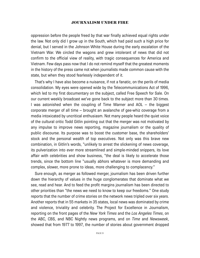oppression before the people freed by that war finally achieved equal rights under the law. Not only did I grow up in the South, which had paid such a high price for denial, but I served in the Johnson White House during the early escalation of the Vietnam War. We circled the wagons and grew intolerant of news that did not confirm to the official view of reality, with tragic consequences for America and Vietnam. Few days pass now that I do not remind myself that the greatest moments in the history of the press came not when journalists made common cause with the state, but when they stood fearlessly independent of it.

That's why I have also become a nuisance, if not a fanatic, on the perils of media consolidation. My eyes were opened wide by the Telecommunications Act of 1996, which led to my first documentary on the subject, called Free Speech for Sale. On our current weekly broadcast we've gone back to the subject more than 30 times. I was astonished when the coupling of Time Warner and AOL – the biggest corporate merger of all time – brought an avalanche of gee-whiz coverage from a media intoxicated by uncritical enthusiasm. Not many people heard the quiet voice of the cultural critic Todd Gitlin pointing out that the merger was not motivated by any impulse to improve news reporting, magazine journalism or the quality of public discourse. Its purpose was to boost the customer base, the shareholders' stock and the personal wealth of top executives. Not only was this brave new combination, in Gitlin's words, "unlikely to arrest the slickening of news coverage, its pulverization into ever more streamlined and simple-minded snippers, its love affair with celebrities and show business, "the deal is likely to accelerate those trends, since the bottom line "usually abhors whatever is more demanding and complex, slower, more prone to ideas, more challenging to complacency."

Sure enough, as merger as followed merger, journalism has been driven further down the hierarchy of values in the huge conglomerates that dominate what we see, read and hear. And to feed the profit margins journalism has been directed to other priorities than "the news we need to know to keep our freedoms." One study reports that the number of crime stories on the network news tripled over six years. Another reports that in 55 markets in 35 states, local news was dominated by crime and violence, triviality and celebrity. The Project for Excellence in Journalism, reporting on the front pages of the *New York Times* and the *Los Angeles Times*, on the ABC, CBS, and NBC Nightly news programs, and on *Time* and *Newsweek*, showed that from 1977 to 1997, the number of stories about government dropped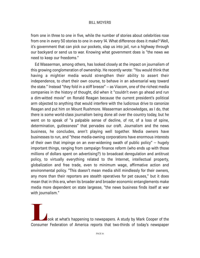from one in three to one in five, while the number of stories about celebrities rose from one in every 50 stories to one in every 14. What difference does it make? Well, it's government that can pick our pockets, slap us into jail, run a highway through our backyard or send us to war. Knowing what government does is "the news we need to keep our freedoms."

Ed Wasserman, among others, has looked closely at the impact on journalism of this growing conglomeration of ownership. He recently wrote: "You would think that having a mightier media would strengthen their ability to assert their independence, to chart their own course, to behave in an adversarial way toward the state." Instead "they fold in a stiff breeze" – as Viacom, one of the richest media companies in the history of thought, did when it "couldn't even go ahead and run a dim-witted movie" on Ronald Reagan because the current president's political arm objected to anything that would interfere with the ludicrous drive to canonize Reagan and put him on Mount Rushmore. Wasserman acknowledges, as I do, that there is some world-class journalism being done all over the country today, but he went on to speak of "a palpable sense of decline, of rot, of a loss of spine, determination, gutlessness" that pervades our craft. Journalism and the news business, he concludes, aren't playing well together. Media owners have businesses to run, and "these media-owning corporations have enormous interests of their own that impinge on an ever-widening swath of public policy" – hugely important things, ranging from campaign finance reform (who ends up with those millions of dollars spent on advertising?) to broadcast deregulation and antitrust policy, to virtually everything related to the Internet, intellectual property, globalization and free trade, even to minimum wage, affirmative action and environmental policy. "This doesn't mean media shill mindlessly for their owners, any more than their reporters are stealth operatives for pet causes," but it does mean that in this era, when its broader and broader economic entanglements make media more dependent on state largesse, "the news business finds itself at war with journalism."

**Look at what's happening to newspapers.** A study by Mark Cooper of the Consumer Federation of America reports that two-thirds of today's newspaper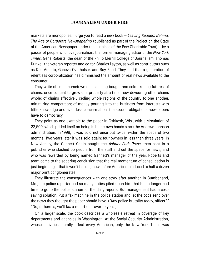markets are monopolies. I urge you to read a new book – *Leaving Readers Behind: The Age of Corporate Newspapering* (published as part of the Project on the State of the American Newspaper under the auspices of the Pew Charitable Trust) – by a passel of people who love journalism: the former managing editor of the *New York Times*, Gene Roberts; the dean of the Philip Merrill College of Journalism, Thomas Kunkel; the veteran reporter and editor, Charles Layton, as well as contributors such as Ken Auletta, Geneva Overholser, and Roy Reed. They find that a generation of relentless corporatization has diminished the amount of real news available to the consumer.

They write of small hometown dailies being bought and sold like hog futures; of chains, once content to grow one property at a time, now devouring other chains whole; of chains effectively ceding whole regions of the country to one another, minimizing competition; of money pouring into the business from interests with little knowledge and even less concern about the special obligations newspapers have to democracy.

They point as one example to the paper in Oshkosh, Wis., with a circulation of 23,500, which prided itself on being in hometown hands since the Andrew Johnson administration. In 1998, it was sold not once but twice, within the space of two months. Two years later it was sold again: four owners in less than three years. In New Jersey, the Gannett Chain bought the *Asbury Park Press*, then sent in a publisher who slashed 55 people from the staff and cut the space for news, and who was rewarded by being named Gannett's manager of the year. Roberts and team come to the sobering conclusion that the real momentum of consolidation is just beginning – that it won't be long now before America is reduced to half a dozen major print conglomerates.

They illustrate the consequences with one story after another. In Cumberland, Md., the police reporter had so many duties piled upon him that he no longer had time to go to the police station for the daily reports. But management had a costsaving solution: Put a fax machine in the police station and let the cops send over the news they thought the paper should have. ("Any police brutality today, officer?" "No, if there is, we'll fax a report of it over to you.")

On a larger scale, the book describes a wholesale retreat in coverage of key departments and agencies in Washington. At the Social Security Administration, whose activities literally affect every American, only the New York Times was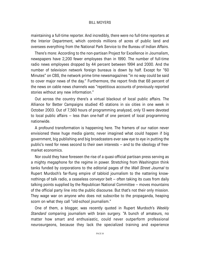maintaining a full-time reporter. And incredibly, there were no full-time reporters at the Interior Department, which controls millions of acres of public land and oversees everything from the National Park Service to the Bureau of Indian Affairs.

There's more: According to the non-partisan Project for Excellence in Journalism, newspapers have 2,200 fewer employees than in 1990. The number of full-time radio news employees dropped by 44 percent between 1994 and 2000. And the number of television network foreign bureaus is down by half. Except for "60 Minutes" on CBS, the network prime time newsmagazines "in no way could be said to cover major news of the day." Furthermore, the report finds that 68 percent of the news on cable news channels was "repetitious accounts of previously reported stories without any new information."

Out across the country there's a virtual blackout of local public affairs. The Alliance for Better Campaigns studied 45 stations in six cities in one week in October 2003. Out of 7,560 hours of programming analyzed, only 13 were devoted to local public affairs – less than one-half of one percent of local programming nationwide.

A profound transformation is happening here. The framers of our nation never envisioned these huge media giants; never imagined what could happen if big government, big publishing and big broadcasters ever saw eye to eye in putting the public's need for news second to their own interests – and to the ideology of freemarket economics.

Nor could they have foreseen the rise of a quasi-official partisan press serving as a mighty megaphone for the regime in power. Stretching from Washington think tanks funded by corporations to the editorial pages of the *Wall Street Journal* to Rupert Murdoch's far-flung empire of tabloid journalism to the nattering knownothings of talk radio, a ceaseless conveyor belt – often taking its cues from daily talking points supplied by the Republican National Committee – moves mountains of the official party line into the public discourse. But that's not their only mission. They wage war on anyone who does not subscribe to the propaganda, heaping scorn on what they call "old-school journalism."

One of them, a blogger, was recently quoted in Rupert Murdoch's *Weekly Standard* comparing journalism with brain surgery. "A bunch of amateurs, no matter how smart and enthusiastic, could never outperform professional neurosurgeons, because they lack the specialized training and experience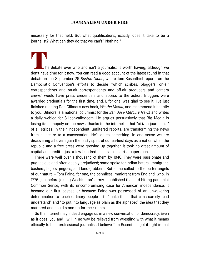necessary for that field. But what qualifications, exactly, does it take to be a journalist? What can they do that we can't? Nothing."

The debate over who and isn't a journalist is worth having, although we<br>don't have time for it now. You can read a good account of the latest round in that debate in the September 26 *Boston Globe,* where Tom Rosenthiel reports on the Democratic Convention's efforts to decide "which scribes, bloggers, on-air correspondents and on-air correspondents and off-air producers and camera crews" would have press credentials and access to the action. Bloggers were awarded credentials for the first time, and, I, for one, was glad to see it. I've just finished reading Dan Gillmor's new book, *We the Media,* and recommend it heartily to you. Gilmore is a national columnist for the *San Jose Mercury News* and writes a daily weblog for SiliconValley.com. He argues persuasively that Big Media is losing its monopoly on the news, thanks to the internet – that "citizen journalists" of all stripes, in their independent, unfiltered reports, are transforming the news from a lecture to a conversation. He's on to something. In one sense we are discovering all over again the feisty spirit of our earliest days as a nation when the republic and a free press were growing up together. It took no great amount of capital and credit  $-$  just a few hundred dollars  $-$  to start a paper then.

There were well over a thousand of them by 1840. They were passionate and pugnacious and often deeply prejudiced; some spoke for Indian-haters, immigrantbashers, bigots, jingoes, and land-grabbers. But some called to the better angels of our nature – Tom Paine, for one, the penniless immigrant from England, who, in 1776 -just before joining Washington's army – published the hard-hitting pamphlet Common Sense, with its uncompromising case for American independence. It became our first best-seller because Paine was possessed of an unwavering determination to reach ordinary people – to "make those that can scarcely read understand" and "to put into language as plain as the alphabet" the idea that they mattered and could stand up for their rights.

So the internet may indeed engage us in a new conversation of democracy. Even as it does, you and I will in no way be relieved from wrestling with what it means ethically to be a professional journalist. I believe Tom Rosenthiel got it right in that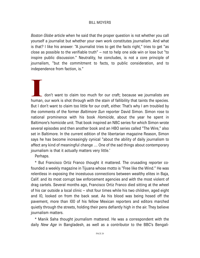*Boston Globe* article when he said that the proper question is not whether you call yourself a journalist but whether your own work constitutes journalism. And what is that? I like his answer: "A journalist tries to get the facts right," tries to get "as close as possible to the verifiable truth" – not to help one side win or lose but "to inspire public discussion." Neutrality, he concludes, is not a core principle of journalism, "but the commitment to facts, to public consideration, and to independence from faction, is."

I don't want to claim too much for our craft; because we journalists are<br>human, our work is shot through with the stain of fallibility that taints the species. But I don't want to claim too little for our craft, either. That's why I am troubled by the comments of the former *Baltimore Sun* reporter David Simon. Simon rose to national prominence with his book *Homicide*, about the year he spent in Baltimore's homicide unit. That book inspired an NBC series for which Simon wrote several episodes and then another book and an HBO series called "The Wire," also set in Baltimore. In the current edition of the libertarian magazine Reason, Simon says he has become increasingly cynical "about the ability of daily journalism to affect any kind of meaningful change .... One of the sad things about contemporary journalism is that it actually matters very little.'

Perhaps.

\* But Francisco Ortiz Franco thought it mattered. The crusading reporter cofounded a weekly magazine in Tijuana whose motto is "Free like the Wind." He was relentless in exposing the incestuous connections between wealthy elites in Baja, Calif. and its most corrupt law enforcement agencies and with the most violent of drag cartels. Several months ago, Francisco Ortiz Franco died sitting at the wheel of his car outside a local clinic – shot four times while his two children, aged eight and l0, looked on from the back seat. As his blood was being hosed off the pavement, more than l00 of his fellow Mexican reporters and editors marched quietly through the streets, holding their pens defiantly high in the air. They believe journalism matters.

\* Manik Saha thought journalism mattered. He was a correspondent with the daily *New Age* in Bangladesh, as well as a contributor to the BBC's Bengali-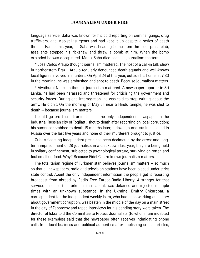language service. Saha was known for his bold reporting on criminal gangs, drug traffickers, and Maoist insurgents and had kept it up despite a series of death threats. Earlier this year, as Saha was heading home from the local press club, assailants stopped his rickshaw and threw a bomb at him. When the bomb exploded he was decapitated. Manik Saha died because journalism matters.

\* Jose Carlos Araujo thought journalism mattered. The host of a call-in talk show in northeastern Brazil, Araujo regularly denounced death squads and well-known local figures involved in murders. On April 24 of this year, outside his home, at 7:30 in the morning, he was ambushed and shot to death. Because journalism matters.

\* Aiyathurai Nadesan thought journalism mattered. A newspaper reporter in Sri Lanka, he had been harassed and threatened for criticizing the government and security forces. During one interrogation, he was told to stop writing about the army. He didn't. On the morning of May 3l, near a Hindu temple, he was shot to death – because journalism matters.

I could go on: The editor-in-chief of the only independent newspaper in the industrial Russian city of Togliatti, shot to death after reporting on local corruption; his successor stabbed to death 18 months later; a dozen journalists in all, killed in Russia over the last five years and none of their murderers brought to justice.

Cuba's fledgling independent press has been decimated by the arrest and longterm imprisonment of 29 journalists in a crackdown last year; they are being held in solitary confinement, subjected to psychological torture, surviving on rotten and foul-smelling food. Why? Because Fidel Castro knows journalism matters.

The totalitarian regime of Turkmenistan believes journalism matters – so much so that all newspapers, radio and television stations have been placed under strict state control. About the only independent information the people get is reporting broadcast from abroad by Radio Free Europe-Radio Liberty. A stringer for that service, based in the Turkmenistan capital, was detained and injected multiple times with an unknown substance. In the Ukraine, Dmitry Shkuropat, a correspondent for the independent weekly Iskra, who had been working on a story about government corruption, was beaten in the middle of the day on a main street in the city of Zaporozhy and taped interviews for his pending story were taken. The director of Iskra told the Committee to Protect Journalists (to whom I am indebted for these examples) said that the newspaper often receives intimidating phone calls from local business and political authorities after publishing critical articles,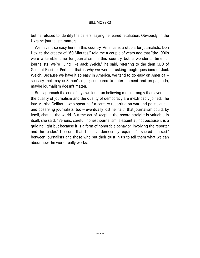but he refused to identify the callers, saying he feared retaliation. Obviously, in the Ukraine journalism matters.

We have it so easy here in this country. America is a utopia for journalists. Don Hewitt, the creator of "60 Minutes," told me a couple of years ago that "the 1990s were a terrible time for journalism in this country but a wonderful time for journalists; we're living like Jack Welch," he said, referring to the then CEO of General Electric. Perhaps that is why we weren't asking tough questions of Jack Welch. Because we have it so easy in America, we tend to go easy on America – so easy that maybe Simon's right; compared to entertainment and propaganda, maybe journalism doesn't matter.

But I approach the end of my own long run believing more strongly than ever that the quality of journalism and the quality of democracy are inextricably joined. The late Martha Gellhorn, who spent half a century reporting on war and politicians – and observing journalists, too – eventually lost her faith that journalism could, by itself, change the world. But the act of keeping the record straight is valuable in itself, she said. "Serious, careful, honest journalism is essential, not because it is a guiding light but because it is a form of honorable behavior, involving the reporter and the reader." I second that. I believe democracy requires "a sacred contract" between journalists and those who put their trust in us to tell them what we can about how the world really works.